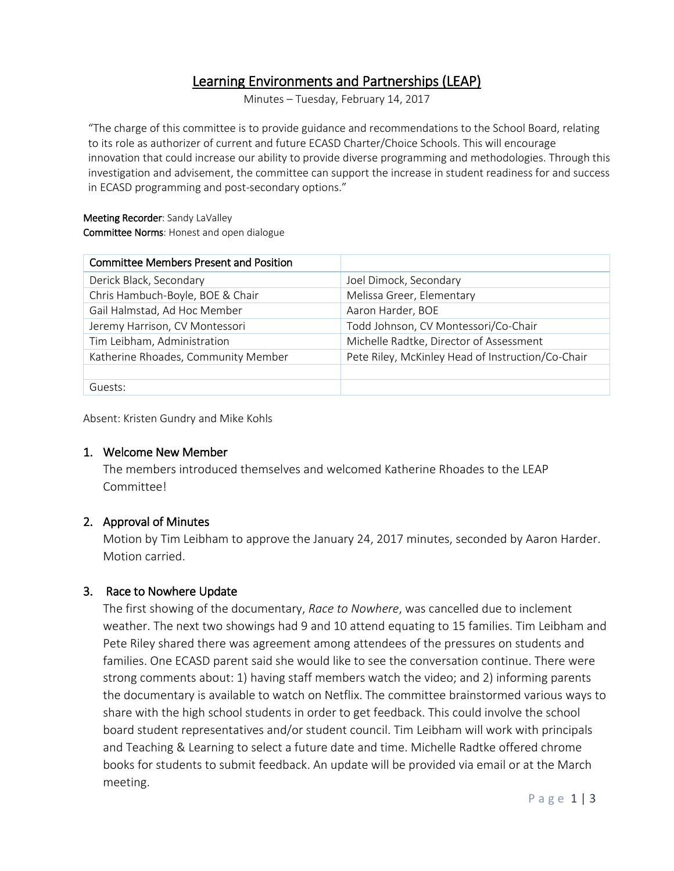# Learning Environments and Partnerships (LEAP)

Minutes – Tuesday, February 14, 2017

"The charge of this committee is to provide guidance and recommendations to the School Board, relating to its role as authorizer of current and future ECASD Charter/Choice Schools. This will encourage innovation that could increase our ability to provide diverse programming and methodologies. Through this investigation and advisement, the committee can support the increase in student readiness for and success in ECASD programming and post-secondary options."

#### Meeting Recorder: Sandy LaValley Committee Norms: Honest and open dialogue

| <b>Committee Members Present and Position</b> |                                                   |
|-----------------------------------------------|---------------------------------------------------|
| Derick Black, Secondary                       | Joel Dimock, Secondary                            |
| Chris Hambuch-Boyle, BOE & Chair              | Melissa Greer, Elementary                         |
| Gail Halmstad, Ad Hoc Member                  | Aaron Harder, BOE                                 |
| Jeremy Harrison, CV Montessori                | Todd Johnson, CV Montessori/Co-Chair              |
| Tim Leibham, Administration                   | Michelle Radtke, Director of Assessment           |
| Katherine Rhoades, Community Member           | Pete Riley, McKinley Head of Instruction/Co-Chair |
|                                               |                                                   |
| Guests:                                       |                                                   |

Absent: Kristen Gundry and Mike Kohls

# 1. Welcome New Member

The members introduced themselves and welcomed Katherine Rhoades to the LEAP Committee!

# 2. Approval of Minutes

Motion by Tim Leibham to approve the January 24, 2017 minutes, seconded by Aaron Harder. Motion carried.

# 3. Race to Nowhere Update

The first showing of the documentary, *Race to Nowhere*, was cancelled due to inclement weather. The next two showings had 9 and 10 attend equating to 15 families. Tim Leibham and Pete Riley shared there was agreement among attendees of the pressures on students and families. One ECASD parent said she would like to see the conversation continue. There were strong comments about: 1) having staff members watch the video; and 2) informing parents the documentary is available to watch on Netflix. The committee brainstormed various ways to share with the high school students in order to get feedback. This could involve the school board student representatives and/or student council. Tim Leibham will work with principals and Teaching & Learning to select a future date and time. Michelle Radtke offered chrome books for students to submit feedback. An update will be provided via email or at the March meeting.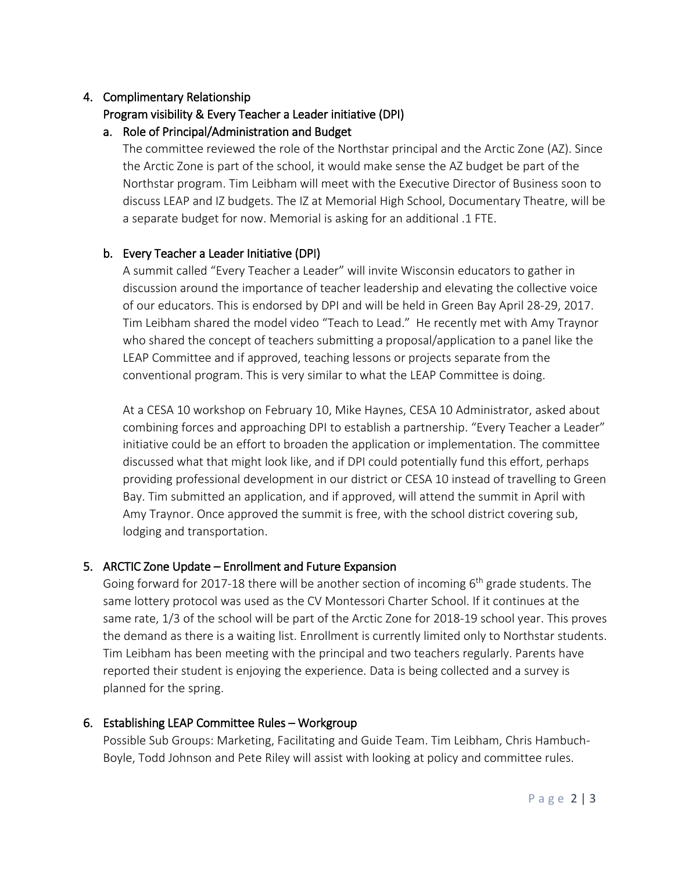# 4. Complimentary Relationship

# Program visibility & Every Teacher a Leader initiative (DPI)

# a. Role of Principal/Administration and Budget

The committee reviewed the role of the Northstar principal and the Arctic Zone (AZ). Since the Arctic Zone is part of the school, it would make sense the AZ budget be part of the Northstar program. Tim Leibham will meet with the Executive Director of Business soon to discuss LEAP and IZ budgets. The IZ at Memorial High School, Documentary Theatre, will be a separate budget for now. Memorial is asking for an additional .1 FTE.

# b. Every Teacher a Leader Initiative (DPI)

A summit called "Every Teacher a Leader" will invite Wisconsin educators to gather in discussion around the importance of teacher leadership and elevating the collective voice of our educators. This is endorsed by DPI and will be held in Green Bay April 28-29, 2017. Tim Leibham shared the model video "Teach to Lead." He recently met with Amy Traynor who shared the concept of teachers submitting a proposal/application to a panel like the LEAP Committee and if approved, teaching lessons or projects separate from the conventional program. This is very similar to what the LEAP Committee is doing.

At a CESA 10 workshop on February 10, Mike Haynes, CESA 10 Administrator, asked about combining forces and approaching DPI to establish a partnership. "Every Teacher a Leader" initiative could be an effort to broaden the application or implementation. The committee discussed what that might look like, and if DPI could potentially fund this effort, perhaps providing professional development in our district or CESA 10 instead of travelling to Green Bay. Tim submitted an application, and if approved, will attend the summit in April with Amy Traynor. Once approved the summit is free, with the school district covering sub, lodging and transportation.

# 5. ARCTIC Zone Update – Enrollment and Future Expansion

Going forward for 2017-18 there will be another section of incoming  $6<sup>th</sup>$  grade students. The same lottery protocol was used as the CV Montessori Charter School. If it continues at the same rate, 1/3 of the school will be part of the Arctic Zone for 2018-19 school year. This proves the demand as there is a waiting list. Enrollment is currently limited only to Northstar students. Tim Leibham has been meeting with the principal and two teachers regularly. Parents have reported their student is enjoying the experience. Data is being collected and a survey is planned for the spring.

# 6. Establishing LEAP Committee Rules – Workgroup

Possible Sub Groups: Marketing, Facilitating and Guide Team. Tim Leibham, Chris Hambuch-Boyle, Todd Johnson and Pete Riley will assist with looking at policy and committee rules.